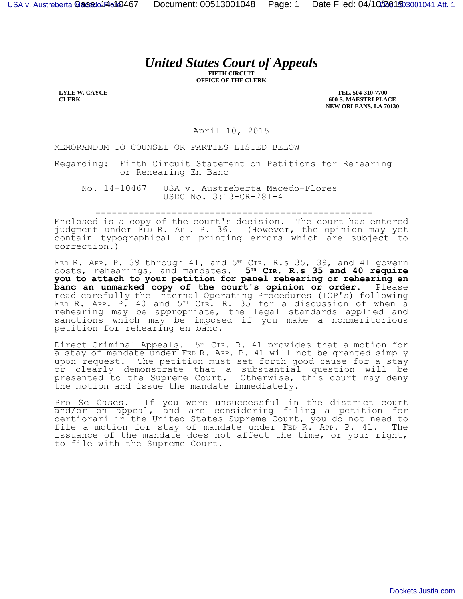## *United States Court of Appeals*

**FIFTH CIRCUIT OFFICE OF THE CLERK**

**LYLE W. CAYCE CLERK**

**TEL. 504-310-7700 600 S. MAESTRI PLACE NEW ORLEANS, LA 70130**

April 10, 2015

MEMORANDUM TO COUNSEL OR PARTIES LISTED BELOW

Regarding: Fifth Circuit Statement on Petitions for Rehearing or Rehearing En Banc

No. 14-10467 USA v. Austreberta Macedo-Flores USDC No. 3:13-CR-281-4

---------------------------------------------------

Enclosed is a copy of the court's decision. The court has entered judgment under FED R. APP. P. 36. (However, the opinion may yet contain typographical or printing errors which are subject to correction.)

FED R. APP. P. 39 through  $41$ , and  $5<sup>TH</sup>$  CIR. R.s 35, 39, and  $41$  govern costs, rehearings, and mandates. **5TH CIR. R.s 35 and 40 require you to attach to your petition for panel rehearing or rehearing en banc an unmarked copy of the court's opinion or order.** Please read carefully the Internal Operating Procedures (IOP's) following FED R. APP. P. 40 and 5<sup>TH</sup> CIR. R. 35 for a discussion of when a rehearing may be appropriate, the legal standards applied and sanctions which may be imposed if you make a nonmeritorious petition for rehearing en banc.

Direct Criminal Appeals. 5<sup>TH</sup> CIR. R. 41 provides that a motion for a stay of mandate under FED R. APP. P. 41 will not be granted simply upon request. The petition must set forth good cause for a stay or clearly demonstrate that a substantial question will be presented to the Supreme Court. Otherwise, this court may deny the motion and issue the mandate immediately.

Pro Se Cases. If you were unsuccessful in the district court and/or on appeal, and are considering filing a petition for certiorari in the United States Supreme Court, you do not need to file a motion for stay of mandate under FED R. APP. P. 41. The issuance of the mandate does not affect the time, or your right, to file with the Supreme Court.